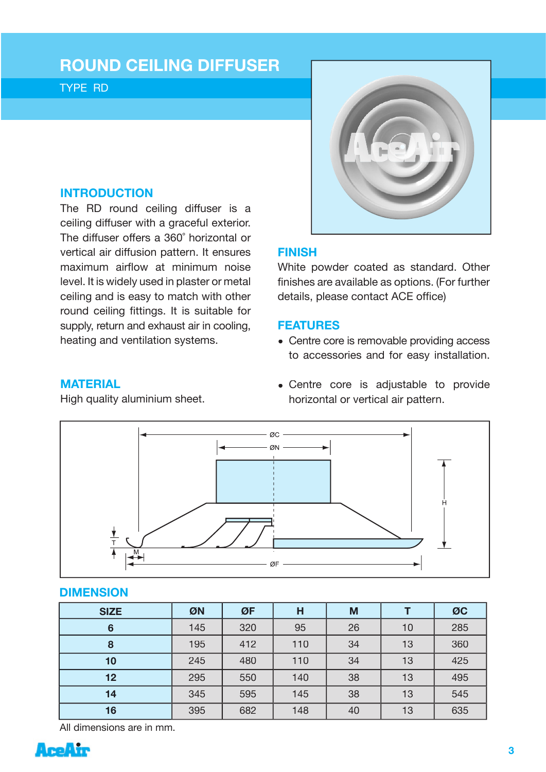# **ROUND CEILING DIFFUSER**

TYPE RD

# **INTRODUCTION**

The RD round ceiling diffuser is a ceiling diffuser with a graceful exterior. The diffuser offers a 360˚ horizontal or vertical air diffusion pattern. It ensures maximum airflow at minimum noise level. It is widely used in plaster or metal ceiling and is easy to match with other round ceiling fittings. It is suitable for supply, return and exhaust air in cooling, heating and ventilation systems.



# **FINISH**

White powder coated as standard. Other finishes are available as options. (For further details, please contact ACE office)

## **FEATURES**

• Centre core is removable providing access to accessories and for easy installation.

### **MATERIAL**

High quality aluminium sheet.

• Centre core is adjustable to provide horizontal or vertical air pattern.



#### **DIMENSION**

| <b>SIZE</b> | ØN  | ØF  | H   | M  |    | ØC  |
|-------------|-----|-----|-----|----|----|-----|
| 6           | 145 | 320 | 95  | 26 | 10 | 285 |
| 8           | 195 | 412 | 110 | 34 | 13 | 360 |
| 10          | 245 | 480 | 110 | 34 | 13 | 425 |
| 12          | 295 | 550 | 140 | 38 | 13 | 495 |
| 14          | 345 |     | 145 | 38 | 13 | 545 |
| 16          | 395 | 682 | 148 | 40 | 13 | 635 |

All dimensions are in mm.